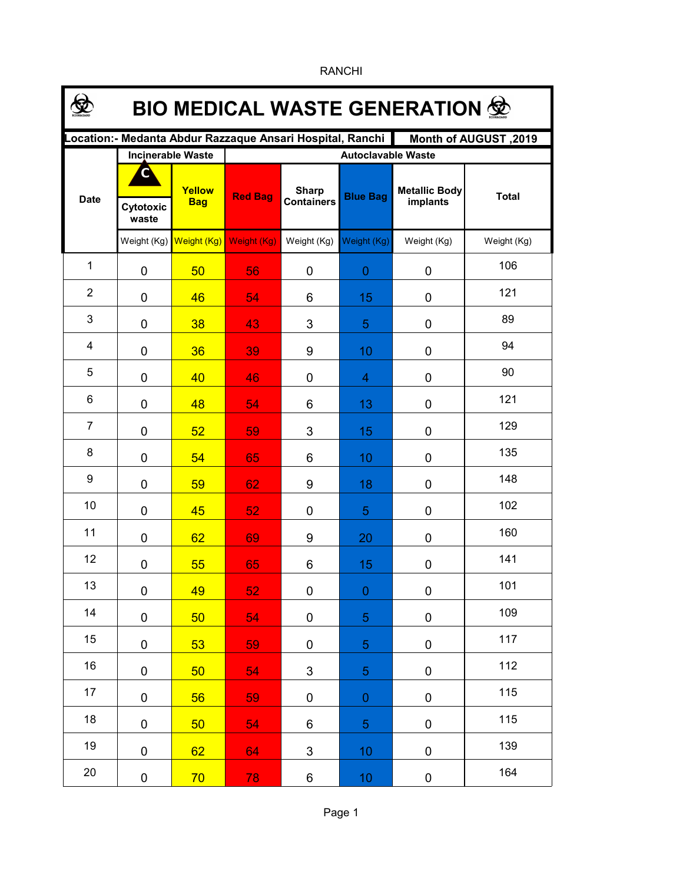| <b>BIO MEDICAL WASTE GENERATION 佥</b>                                              |                          |                      |                           |                                   |                 |                                  |              |  |  |  |
|------------------------------------------------------------------------------------|--------------------------|----------------------|---------------------------|-----------------------------------|-----------------|----------------------------------|--------------|--|--|--|
| ocation:- Medanta Abdur Razzaque Ansari Hospital, Ranchi.<br>Month of AUGUST, 2019 |                          |                      |                           |                                   |                 |                                  |              |  |  |  |
|                                                                                    | <b>Incinerable Waste</b> |                      | <b>Autoclavable Waste</b> |                                   |                 |                                  |              |  |  |  |
| <b>Date</b>                                                                        | C<br>Cytotoxic<br>waste  | Yellow<br><b>Bag</b> | <b>Red Bag</b>            | <b>Sharp</b><br><b>Containers</b> | <b>Blue Bag</b> | <b>Metallic Body</b><br>implants | <b>Total</b> |  |  |  |
|                                                                                    | Weight $(Kg)$            | Weight (Kg)          | <b>Weight (Kg)</b>        | Weight (Kg)                       | Weight (Kg)     | Weight (Kg)                      | Weight (Kg)  |  |  |  |
| $\mathbf{1}$                                                                       | $\mathbf 0$              | 50                   | 56                        | 0                                 | $\mathbf 0$     | 0                                | 106          |  |  |  |
| $\overline{2}$                                                                     | $\mathbf 0$              | 46                   | 54                        | 6                                 | 15              | 0                                | 121          |  |  |  |
| 3                                                                                  | $\mathbf 0$              | 38                   | 43                        | 3                                 | 5               | 0                                | 89           |  |  |  |
| 4                                                                                  | $\mathbf 0$              | 36                   | 39                        | 9                                 | 10              | 0                                | 94           |  |  |  |
| 5                                                                                  | $\mathbf 0$              | 40                   | 46                        | 0                                 | 4               | 0                                | 90           |  |  |  |
| 6                                                                                  | $\mathbf 0$              | 48                   | 54                        | 6                                 | 13              | 0                                | 121          |  |  |  |
| $\overline{7}$                                                                     | $\mathbf 0$              | 52                   | 59                        | 3                                 | 15              | 0                                | 129          |  |  |  |
| 8                                                                                  | $\mathbf 0$              | 54                   | 65                        | 6                                 | 10              | 0                                | 135          |  |  |  |
| 9                                                                                  | 0                        | 59                   | 62                        | 9                                 | 18              | 0                                | 148          |  |  |  |
| 10                                                                                 | 0                        | 45                   | 52                        | 0                                 | 5               | 0                                | 102          |  |  |  |
| 11                                                                                 | 0                        | 62                   | 69                        | 9                                 | 20              | 0                                | 160          |  |  |  |
| 12                                                                                 | $\mathbf 0$              | 55                   | 65                        | 6                                 | 15              | 0                                | 141          |  |  |  |
| 13                                                                                 | $\pmb{0}$                | 49                   | 52                        | 0                                 | $\overline{0}$  | 0                                | 101          |  |  |  |
| 14                                                                                 | $\pmb{0}$                | 50                   | 54                        | 0                                 | 5               | $\pmb{0}$                        | 109          |  |  |  |
| 15                                                                                 | $\pmb{0}$                | 53                   | 59                        | 0                                 | 5               | 0                                | 117          |  |  |  |
| 16                                                                                 | $\pmb{0}$                | 50                   | 54                        | 3                                 | 5               | 0                                | 112          |  |  |  |
| 17                                                                                 | $\pmb{0}$                | 56                   | 59                        | 0                                 | $\mathbf 0$     | 0                                | 115          |  |  |  |
| 18                                                                                 | $\pmb{0}$                | 50                   | 54                        | 6                                 | 5               | 0                                | 115          |  |  |  |
| 19                                                                                 | $\pmb{0}$                | 62                   | 64                        | 3                                 | 10              | 0                                | 139          |  |  |  |
| 20                                                                                 | 0                        | 70                   | 78                        | 6                                 | 10              | 0                                | 164          |  |  |  |

RANCHI